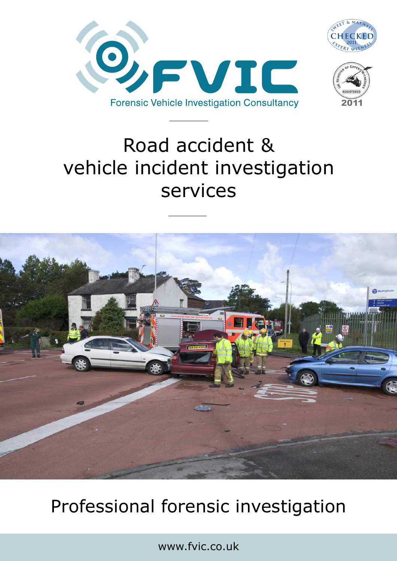





# Road accident & vehicle incident investigation services



## Professional forensic investigation

www.fvic.co.uk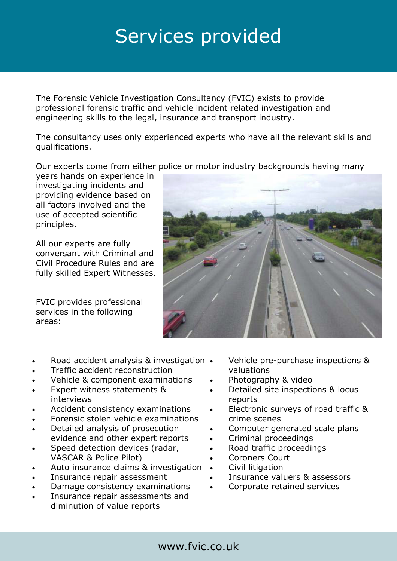### Services provided

The Forensic Vehicle Investigation Consultancy (FVIC) exists to provide professional forensic traffic and vehicle incident related investigation and engineering skills to the legal, insurance and transport industry.

The consultancy uses only experienced experts who have all the relevant skills and qualifications.

Our experts come from either police or motor industry backgrounds having many

years hands on experience in investigating incidents and providing evidence based on all factors involved and the use of accepted scientific principles.

All our experts are fully conversant with Criminal and Civil Procedure Rules and are fully skilled Expert Witnesses.

FVIC provides professional services in the following areas:



- Road accident analysis & investigation
- Traffic accident reconstruction
- Vehicle & component examinations
- Expert witness statements & interviews
- Accident consistency examinations
- Forensic stolen vehicle examinations
- Detailed analysis of prosecution evidence and other expert reports
- Speed detection devices (radar, VASCAR & Police Pilot)
- Auto insurance claims & investigation
- Insurance repair assessment
- Damage consistency examinations
- Insurance repair assessments and diminution of value reports
- Vehicle pre-purchase inspections & valuations
- Photography & video
- Detailed site inspections & locus reports
- Electronic surveys of road traffic & crime scenes
- Computer generated scale plans
- Criminal proceedings
- Road traffic proceedings
- Coroners Court
- Civil litigation
- Insurance valuers & assessors
- Corporate retained services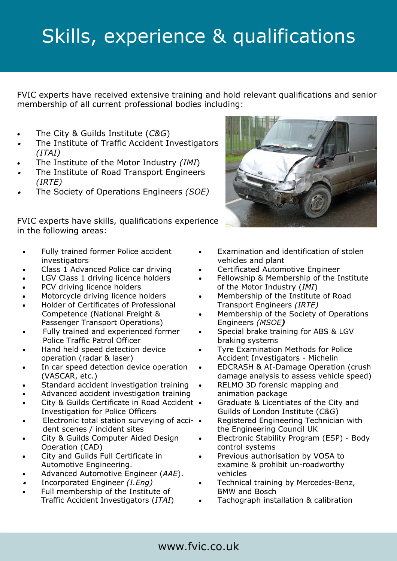# Skills, experience & qualifications

FVIC experts have received extensive training and hold relevant qualifications and senior membership of all current professional bodies including:

- The City & Guilds Institute (*C&G*)
- The Institute of Traffic Accident Investigators *(ITAI)*
- The Institute of the Motor Industry *(IMI*)
- The Institute of Road Transport Engineers *(IRTE)*
- The Society of Operations Engineers *(SOE)*

FVIC experts have skills, qualifications experience in the following areas:

- Fully trained former Police accident **investigators**
- Class 1 Advanced Police car driving
- LGV Class 1 driving licence holders
- PCV driving licence holders
- Motorcycle driving licence holders
- Holder of Certificates of Professional Competence (National Freight & Passenger Transport Operations)
- Fully trained and experienced former Police Traffic Patrol Officer
- Hand held speed detection device operation (radar & laser)
- In car speed detection device operation (VASCAR, etc.)
- Standard accident investigation training
- Advanced accident investigation training
- City & Guilds Certificate in Road Accident Investigation for Police Officers
- Electronic total station surveying of acci- dent scenes / incident sites
- City & Guilds Computer Aided Design Operation (CAD)
- City and Guilds Full Certificate in Automotive Engineering.
- Advanced Automotive Engineer (*AAE*).
- Incorporated Engineer *(I.Eng)*
- Full membership of the Institute of Traffic Accident Investigators (*ITAI*)



- Examination and identification of stolen vehicles and plant
- Certificated Automotive Engineer
- Fellowship & Membership of the Institute of the Motor Industry (*IMI*)
- Membership of the Institute of Road Transport Engineers *(IRTE)*
- Membership of the Society of Operations Engineers *(MSOE)*
- Special brake training for ABS & LGV braking systems
- Tyre Examination Methods for Police Accident Investigators - Michelin
- EDCRASH & AI-Damage Operation (crush damage analysis to assess vehicle speed)
- RELMO 3D forensic mapping and animation package
- Graduate & Licentiates of the City and Guilds of London Institute (*C&G*)
- Registered Engineering Technician with the Engineering Council UK
- Electronic Stability Program (ESP) Body control systems
- Previous authorisation by VOSA to examine & prohibit un-roadworthy vehicles
- Technical training by Mercedes-Benz, BMW and Bosch
- Tachograph installation & calibration